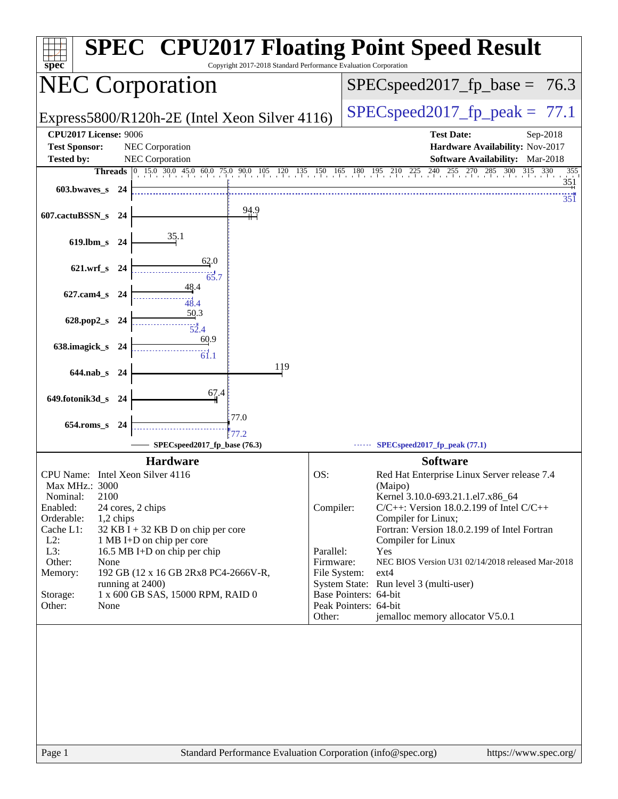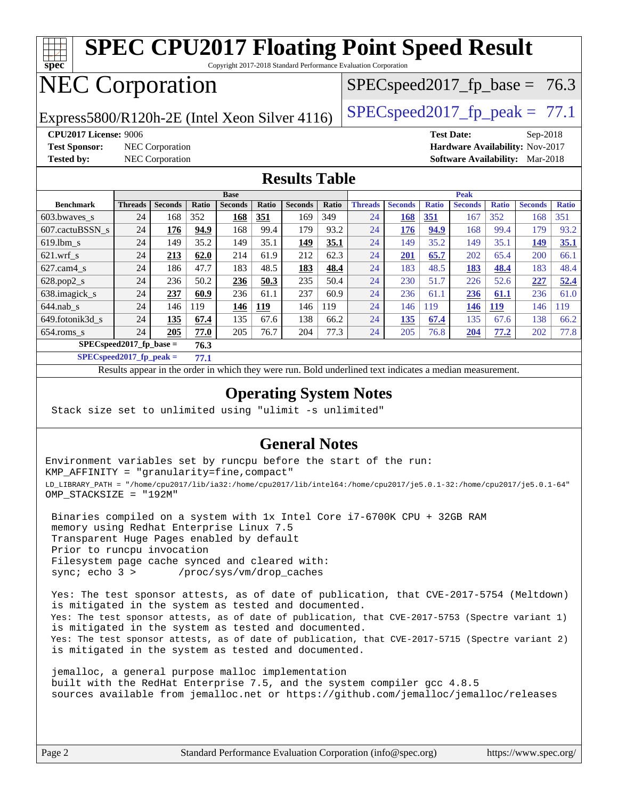

**[SPECspeed2017\\_fp\\_peak =](http://www.spec.org/auto/cpu2017/Docs/result-fields.html#SPECspeed2017fppeak) 77.1**

Results appear in the [order in which they were run.](http://www.spec.org/auto/cpu2017/Docs/result-fields.html#RunOrder) Bold underlined text [indicates a median measurement](http://www.spec.org/auto/cpu2017/Docs/result-fields.html#Median).

#### **[Operating System Notes](http://www.spec.org/auto/cpu2017/Docs/result-fields.html#OperatingSystemNotes)**

Stack size set to unlimited using "ulimit -s unlimited"

#### **[General Notes](http://www.spec.org/auto/cpu2017/Docs/result-fields.html#GeneralNotes)**

Environment variables set by runcpu before the start of the run: KMP\_AFFINITY = "granularity=fine,compact" LD\_LIBRARY\_PATH = "/home/cpu2017/lib/ia32:/home/cpu2017/lib/intel64:/home/cpu2017/je5.0.1-32:/home/cpu2017/je5.0.1-64" OMP\_STACKSIZE = "192M"

 Binaries compiled on a system with 1x Intel Core i7-6700K CPU + 32GB RAM memory using Redhat Enterprise Linux 7.5 Transparent Huge Pages enabled by default Prior to runcpu invocation Filesystem page cache synced and cleared with: sync; echo 3 > /proc/sys/vm/drop\_caches

 Yes: The test sponsor attests, as of date of publication, that CVE-2017-5754 (Meltdown) is mitigated in the system as tested and documented. Yes: The test sponsor attests, as of date of publication, that CVE-2017-5753 (Spectre variant 1) is mitigated in the system as tested and documented. Yes: The test sponsor attests, as of date of publication, that CVE-2017-5715 (Spectre variant 2) is mitigated in the system as tested and documented.

 jemalloc, a general purpose malloc implementation built with the RedHat Enterprise 7.5, and the system compiler gcc 4.8.5 sources available from jemalloc.net or <https://github.com/jemalloc/jemalloc/releases>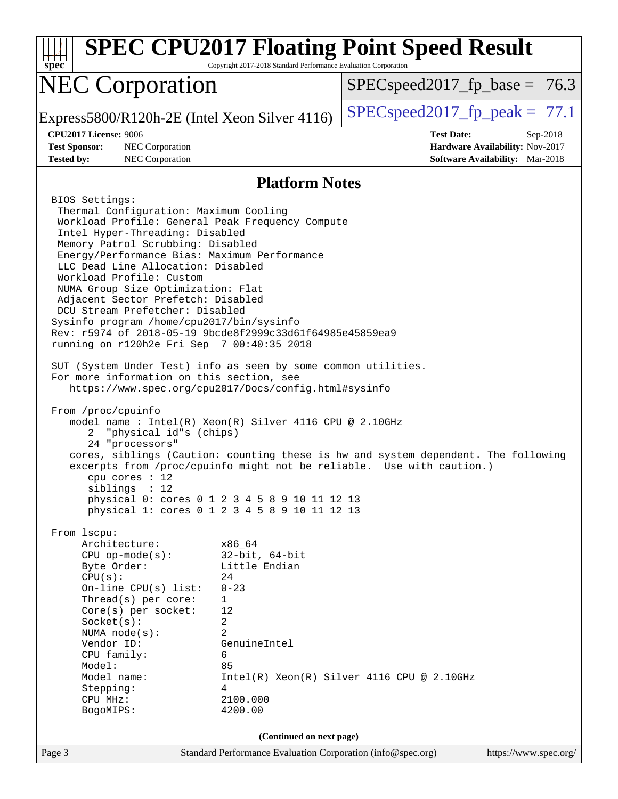| $spec*$                                                                                                                                                                                                                                                                                                                                                                                                                                                                                                                                                                                                                                                                                                                                                                                                                                                                                                                                                                                                                         | Copyright 2017-2018 Standard Performance Evaluation Corporation                                                                               | <b>SPEC CPU2017 Floating Point Speed Result</b>                                                                                                             |          |  |
|---------------------------------------------------------------------------------------------------------------------------------------------------------------------------------------------------------------------------------------------------------------------------------------------------------------------------------------------------------------------------------------------------------------------------------------------------------------------------------------------------------------------------------------------------------------------------------------------------------------------------------------------------------------------------------------------------------------------------------------------------------------------------------------------------------------------------------------------------------------------------------------------------------------------------------------------------------------------------------------------------------------------------------|-----------------------------------------------------------------------------------------------------------------------------------------------|-------------------------------------------------------------------------------------------------------------------------------------------------------------|----------|--|
| <b>NEC Corporation</b>                                                                                                                                                                                                                                                                                                                                                                                                                                                                                                                                                                                                                                                                                                                                                                                                                                                                                                                                                                                                          |                                                                                                                                               | $SPEC speed2017_f p\_base = 76.3$                                                                                                                           |          |  |
| Express5800/R120h-2E (Intel Xeon Silver $4116$ )                                                                                                                                                                                                                                                                                                                                                                                                                                                                                                                                                                                                                                                                                                                                                                                                                                                                                                                                                                                |                                                                                                                                               | $SPEC speed2017fp peak = 77.1$                                                                                                                              |          |  |
| CPU2017 License: 9006<br><b>Test Sponsor:</b><br>NEC Corporation<br><b>Tested by:</b><br>NEC Corporation                                                                                                                                                                                                                                                                                                                                                                                                                                                                                                                                                                                                                                                                                                                                                                                                                                                                                                                        |                                                                                                                                               | <b>Test Date:</b><br>Hardware Availability: Nov-2017<br><b>Software Availability:</b> Mar-2018                                                              | Sep-2018 |  |
|                                                                                                                                                                                                                                                                                                                                                                                                                                                                                                                                                                                                                                                                                                                                                                                                                                                                                                                                                                                                                                 | <b>Platform Notes</b>                                                                                                                         |                                                                                                                                                             |          |  |
| BIOS Settings:<br>Thermal Configuration: Maximum Cooling<br>Workload Profile: General Peak Frequency Compute<br>Intel Hyper-Threading: Disabled<br>Memory Patrol Scrubbing: Disabled<br>Energy/Performance Bias: Maximum Performance<br>LLC Dead Line Allocation: Disabled<br>Workload Profile: Custom<br>NUMA Group Size Optimization: Flat<br>Adjacent Sector Prefetch: Disabled<br>DCU Stream Prefetcher: Disabled<br>Sysinfo program /home/cpu2017/bin/sysinfo<br>Rev: r5974 of 2018-05-19 9bcde8f2999c33d61f64985e45859ea9<br>running on r120h2e Fri Sep 7 00:40:35 2018<br>SUT (System Under Test) info as seen by some common utilities.<br>For more information on this section, see<br>https://www.spec.org/cpu2017/Docs/config.html#sysinfo<br>From /proc/cpuinfo<br>model name : Intel(R) Xeon(R) Silver 4116 CPU @ 2.10GHz<br>"physical id"s (chips)<br>2<br>24 "processors"<br>$cpu$ cores : 12<br>siblings : 12<br>physical 0: cores 0 1 2 3 4 5 8 9 10 11 12 13<br>physical 1: cores 0 1 2 3 4 5 8 9 10 11 12 13 |                                                                                                                                               | cores, siblings (Caution: counting these is hw and system dependent. The following<br>excerpts from /proc/cpuinfo might not be reliable. Use with caution.) |          |  |
| From lscpu:<br>Architecture:<br>$CPU$ op-mode( $s$ ):<br>Byte Order:<br>CPU(s):<br>On-line CPU(s) list:<br>Thread(s) per core:<br>Core(s) per socket:<br>Socket(s):<br>NUMA $node(s):$<br>Vendor ID:<br>CPU family:<br>Model:<br>Model name:<br>Stepping:<br>CPU MHz:<br>BogoMIPS:                                                                                                                                                                                                                                                                                                                                                                                                                                                                                                                                                                                                                                                                                                                                              | x86_64<br>$32$ -bit, $64$ -bit<br>Little Endian<br>24<br>$0 - 23$<br>1<br>12<br>2<br>2<br>GenuineIntel<br>6<br>85<br>4<br>2100.000<br>4200.00 | $Intel(R) Xeon(R) Silver 4116 CPU @ 2.10GHz$                                                                                                                |          |  |
| (Continued on next page)<br>Standard Performance Evaluation Corporation (info@spec.org)<br>https://www.spec.org/                                                                                                                                                                                                                                                                                                                                                                                                                                                                                                                                                                                                                                                                                                                                                                                                                                                                                                                |                                                                                                                                               |                                                                                                                                                             |          |  |
| Page 3                                                                                                                                                                                                                                                                                                                                                                                                                                                                                                                                                                                                                                                                                                                                                                                                                                                                                                                                                                                                                          |                                                                                                                                               |                                                                                                                                                             |          |  |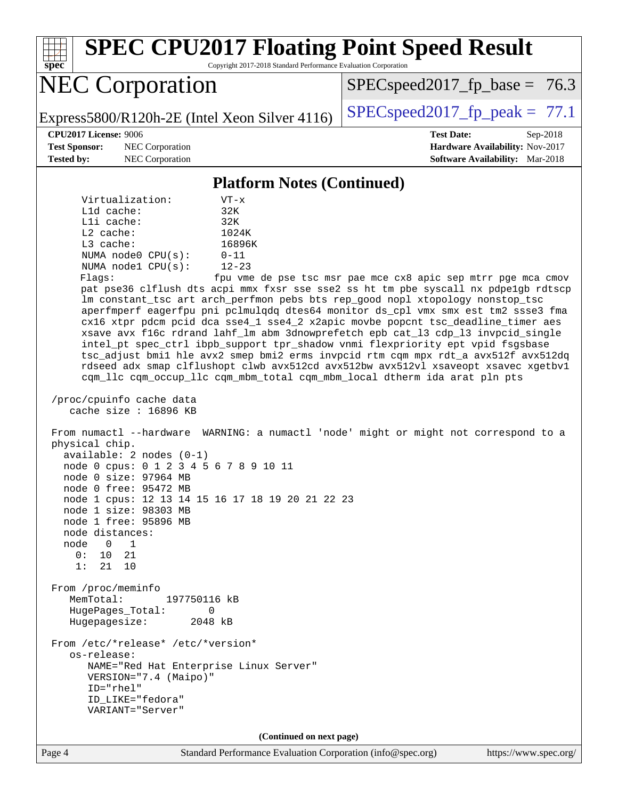Page 4 Standard Performance Evaluation Corporation [\(info@spec.org\)](mailto:info@spec.org) <https://www.spec.org/> **[spec](http://www.spec.org/) [SPEC CPU2017 Floating Point Speed Result](http://www.spec.org/auto/cpu2017/Docs/result-fields.html#SPECCPU2017FloatingPointSpeedResult)** Copyright 2017-2018 Standard Performance Evaluation Corporation NEC Corporation Express5800/R120h-2E (Intel Xeon Silver 4116) [SPECspeed2017\\_fp\\_peak =](http://www.spec.org/auto/cpu2017/Docs/result-fields.html#SPECspeed2017fppeak)  $77.1$  $SPECspeed2017_fp\_base = 76.3$ **[CPU2017 License:](http://www.spec.org/auto/cpu2017/Docs/result-fields.html#CPU2017License)** 9006 **[Test Date:](http://www.spec.org/auto/cpu2017/Docs/result-fields.html#TestDate)** Sep-2018 **[Test Sponsor:](http://www.spec.org/auto/cpu2017/Docs/result-fields.html#TestSponsor)** NEC Corporation **[Hardware Availability:](http://www.spec.org/auto/cpu2017/Docs/result-fields.html#HardwareAvailability)** Nov-2017 **[Tested by:](http://www.spec.org/auto/cpu2017/Docs/result-fields.html#Testedby)** NEC Corporation **[Software Availability:](http://www.spec.org/auto/cpu2017/Docs/result-fields.html#SoftwareAvailability)** Mar-2018 **[Platform Notes \(Continued\)](http://www.spec.org/auto/cpu2017/Docs/result-fields.html#PlatformNotes)** Virtualization: VT-x L1d cache: 32K L1i cache: 32K L2 cache: 1024K L3 cache: 16896K NUMA node0 CPU(s): 0-11 NUMA node1 CPU(s): 12-23 Flags: fpu vme de pse tsc msr pae mce cx8 apic sep mtrr pge mca cmov pat pse36 clflush dts acpi mmx fxsr sse sse2 ss ht tm pbe syscall nx pdpe1gb rdtscp lm constant\_tsc art arch\_perfmon pebs bts rep\_good nopl xtopology nonstop\_tsc aperfmperf eagerfpu pni pclmulqdq dtes64 monitor ds\_cpl vmx smx est tm2 ssse3 fma cx16 xtpr pdcm pcid dca sse4\_1 sse4\_2 x2apic movbe popcnt tsc\_deadline\_timer aes xsave avx f16c rdrand lahf\_lm abm 3dnowprefetch epb cat\_l3 cdp\_l3 invpcid\_single intel\_pt spec\_ctrl ibpb\_support tpr\_shadow vnmi flexpriority ept vpid fsgsbase tsc\_adjust bmi1 hle avx2 smep bmi2 erms invpcid rtm cqm mpx rdt\_a avx512f avx512dq rdseed adx smap clflushopt clwb avx512cd avx512bw avx512vl xsaveopt xsavec xgetbv1 cqm\_llc cqm\_occup\_llc cqm\_mbm\_total cqm\_mbm\_local dtherm ida arat pln pts /proc/cpuinfo cache data cache size : 16896 KB From numactl --hardware WARNING: a numactl 'node' might or might not correspond to a physical chip. available: 2 nodes (0-1) node 0 cpus: 0 1 2 3 4 5 6 7 8 9 10 11 node 0 size: 97964 MB node 0 free: 95472 MB node 1 cpus: 12 13 14 15 16 17 18 19 20 21 22 23 node 1 size: 98303 MB node 1 free: 95896 MB node distances: node 0 1 0: 10 21 1: 21 10 From /proc/meminfo MemTotal: 197750116 kB HugePages\_Total: 0 Hugepagesize: 2048 kB From /etc/\*release\* /etc/\*version\* os-release: NAME="Red Hat Enterprise Linux Server" VERSION="7.4 (Maipo)" ID="rhel" ID\_LIKE="fedora" VARIANT="Server" **(Continued on next page)**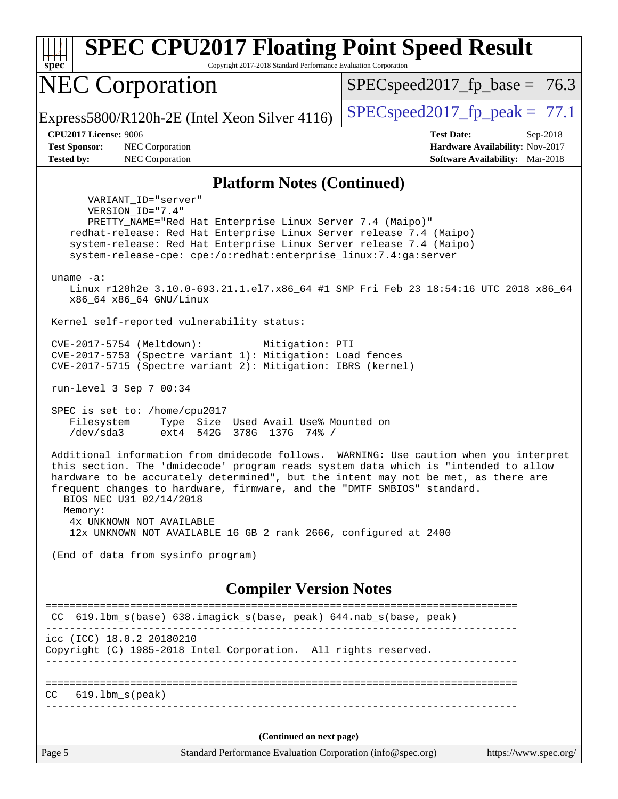| <b>SPEC CPU2017 Floating Point Speed Result</b><br>spec<br>Copyright 2017-2018 Standard Performance Evaluation Corporation                                                                                                                                                                                                                                                                                                                                                          |                                                                                                            |  |  |  |  |
|-------------------------------------------------------------------------------------------------------------------------------------------------------------------------------------------------------------------------------------------------------------------------------------------------------------------------------------------------------------------------------------------------------------------------------------------------------------------------------------|------------------------------------------------------------------------------------------------------------|--|--|--|--|
| <b>NEC Corporation</b>                                                                                                                                                                                                                                                                                                                                                                                                                                                              | $SPEC speed2017_f p\_base = 76.3$                                                                          |  |  |  |  |
| Express5800/R120h-2E (Intel Xeon Silver 4116)                                                                                                                                                                                                                                                                                                                                                                                                                                       | $SPEC speed2017fr peak = 77.1$                                                                             |  |  |  |  |
| <b>CPU2017 License: 9006</b><br><b>Test Sponsor:</b><br>NEC Corporation<br>NEC Corporation<br><b>Tested by:</b>                                                                                                                                                                                                                                                                                                                                                                     | <b>Test Date:</b><br>Sep-2018<br>Hardware Availability: Nov-2017<br><b>Software Availability:</b> Mar-2018 |  |  |  |  |
| <b>Platform Notes (Continued)</b>                                                                                                                                                                                                                                                                                                                                                                                                                                                   |                                                                                                            |  |  |  |  |
| VARIANT_ID="server"<br>VERSION_ID="7.4"<br>PRETTY_NAME="Red Hat Enterprise Linux Server 7.4 (Maipo)"<br>redhat-release: Red Hat Enterprise Linux Server release 7.4 (Maipo)<br>system-release: Red Hat Enterprise Linux Server release 7.4 (Maipo)<br>system-release-cpe: cpe:/o:redhat:enterprise_linux:7.4:ga:server<br>uname $-a$ :<br>Linux r120h2e 3.10.0-693.21.1.el7.x86_64 #1 SMP Fri Feb 23 18:54:16 UTC 2018 x86_64                                                       |                                                                                                            |  |  |  |  |
| x86_64 x86_64 GNU/Linux                                                                                                                                                                                                                                                                                                                                                                                                                                                             |                                                                                                            |  |  |  |  |
| Kernel self-reported vulnerability status:<br>CVE-2017-5754 (Meltdown):<br>Mitigation: PTI<br>CVE-2017-5753 (Spectre variant 1): Mitigation: Load fences<br>CVE-2017-5715 (Spectre variant 2): Mitigation: IBRS (kernel)                                                                                                                                                                                                                                                            |                                                                                                            |  |  |  |  |
| run-level 3 Sep 7 00:34                                                                                                                                                                                                                                                                                                                                                                                                                                                             |                                                                                                            |  |  |  |  |
| SPEC is set to: /home/cpu2017<br>Filesystem<br>Type Size Used Avail Use% Mounted on<br>/dev/sda3<br>ext4 542G 378G 137G 74% /                                                                                                                                                                                                                                                                                                                                                       |                                                                                                            |  |  |  |  |
| Additional information from dmidecode follows. WARNING: Use caution when you interpret<br>this section. The 'dmidecode' program reads system data which is "intended to allow<br>hardware to be accurately determined", but the intent may not be met, as there are<br>frequent changes to hardware, firmware, and the "DMTF SMBIOS" standard.<br>BIOS NEC U31 02/14/2018<br>Memory:<br>4x UNKNOWN NOT AVAILABLE<br>12x UNKNOWN NOT AVAILABLE 16 GB 2 rank 2666, configured at 2400 |                                                                                                            |  |  |  |  |
| (End of data from sysinfo program)                                                                                                                                                                                                                                                                                                                                                                                                                                                  |                                                                                                            |  |  |  |  |
| <b>Compiler Version Notes</b>                                                                                                                                                                                                                                                                                                                                                                                                                                                       |                                                                                                            |  |  |  |  |
| CC 619.1bm_s(base) 638.imagick_s(base, peak) 644.nab_s(base, peak)                                                                                                                                                                                                                                                                                                                                                                                                                  | =============================                                                                              |  |  |  |  |
| icc (ICC) 18.0.2 20180210<br>Copyright (C) 1985-2018 Intel Corporation. All rights reserved.                                                                                                                                                                                                                                                                                                                                                                                        |                                                                                                            |  |  |  |  |
| $619.1$ bm_s(peak)<br>CC.                                                                                                                                                                                                                                                                                                                                                                                                                                                           |                                                                                                            |  |  |  |  |
| (Continued on next page)                                                                                                                                                                                                                                                                                                                                                                                                                                                            |                                                                                                            |  |  |  |  |
| Page 5<br>Standard Performance Evaluation Corporation (info@spec.org)                                                                                                                                                                                                                                                                                                                                                                                                               | https://www.spec.org/                                                                                      |  |  |  |  |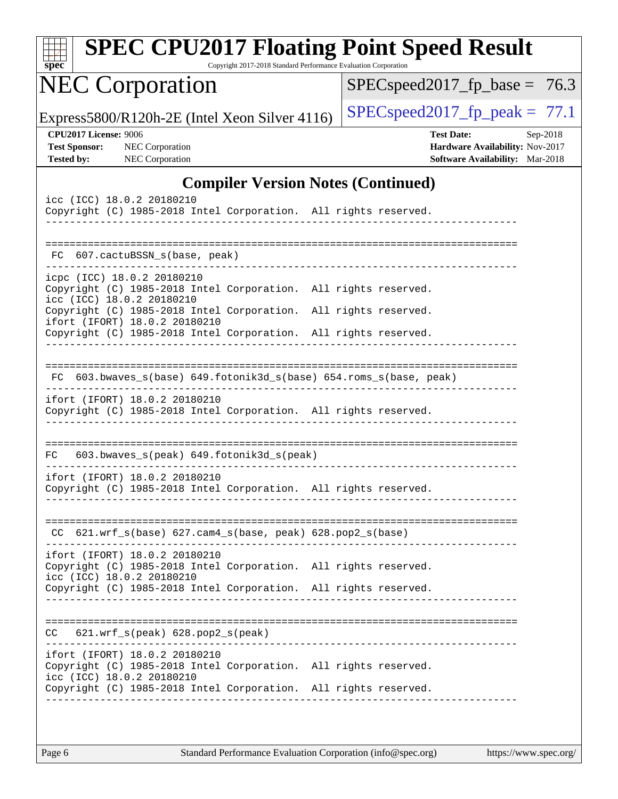| <b>SPEC CPU2017 Floating Point Speed Result</b><br>Copyright 2017-2018 Standard Performance Evaluation Corporation<br>$spec^*$                                                                   |  |                                                                                                |          |  |  |  |
|--------------------------------------------------------------------------------------------------------------------------------------------------------------------------------------------------|--|------------------------------------------------------------------------------------------------|----------|--|--|--|
| <b>NEC Corporation</b>                                                                                                                                                                           |  | $SPEC speed2017_f p\_base = 76.3$                                                              |          |  |  |  |
| Express5800/R120h-2E (Intel Xeon Silver 4116)                                                                                                                                                    |  | $SPEC speed2017_fp\_peak = 77.1$                                                               |          |  |  |  |
| <b>CPU2017 License: 9006</b><br><b>Test Sponsor:</b><br>NEC Corporation<br><b>Tested by:</b><br><b>NEC Corporation</b>                                                                           |  | <b>Test Date:</b><br>Hardware Availability: Nov-2017<br><b>Software Availability:</b> Mar-2018 | Sep-2018 |  |  |  |
| <b>Compiler Version Notes (Continued)</b>                                                                                                                                                        |  |                                                                                                |          |  |  |  |
| icc (ICC) 18.0.2 20180210<br>Copyright (C) 1985-2018 Intel Corporation. All rights reserved.                                                                                                     |  |                                                                                                |          |  |  |  |
| FC 607.cactuBSSN_s(base, peak)                                                                                                                                                                   |  |                                                                                                |          |  |  |  |
| icpc (ICC) 18.0.2 20180210<br>Copyright (C) 1985-2018 Intel Corporation. All rights reserved.<br>icc (ICC) 18.0.2 20180210                                                                       |  |                                                                                                |          |  |  |  |
| Copyright (C) 1985-2018 Intel Corporation. All rights reserved.<br>ifort (IFORT) 18.0.2 20180210<br>Copyright (C) 1985-2018 Intel Corporation. All rights reserved.                              |  |                                                                                                |          |  |  |  |
| 603.bwaves_s(base) 649.fotonik3d_s(base) 654.roms_s(base, peak)<br>ifort (IFORT) 18.0.2 20180210<br>Copyright (C) 1985-2018 Intel Corporation. All rights reserved.                              |  |                                                                                                |          |  |  |  |
| 603.bwaves_s(peak) 649.fotonik3d_s(peak)<br>FC.                                                                                                                                                  |  |                                                                                                |          |  |  |  |
| ifort (IFORT) 18.0.2 20180210<br>Copyright (C) 1985-2018 Intel Corporation. All rights reserved.                                                                                                 |  |                                                                                                |          |  |  |  |
| $CC$ 621.wrf_s(base) 627.cam4_s(base, peak) 628.pop2_s(base)                                                                                                                                     |  |                                                                                                |          |  |  |  |
| ifort (IFORT) 18.0.2 20180210<br>Copyright (C) 1985-2018 Intel Corporation. All rights reserved.<br>icc (ICC) 18.0.2 20180210<br>Copyright (C) 1985-2018 Intel Corporation. All rights reserved. |  |                                                                                                |          |  |  |  |
| $CC$ $621.wrf_s(peak)$ $628.pop2_s(peak)$                                                                                                                                                        |  |                                                                                                |          |  |  |  |
| ifort (IFORT) 18.0.2 20180210<br>Copyright (C) 1985-2018 Intel Corporation. All rights reserved.<br>icc (ICC) 18.0.2 20180210                                                                    |  |                                                                                                |          |  |  |  |
| Copyright (C) 1985-2018 Intel Corporation. All rights reserved.                                                                                                                                  |  |                                                                                                |          |  |  |  |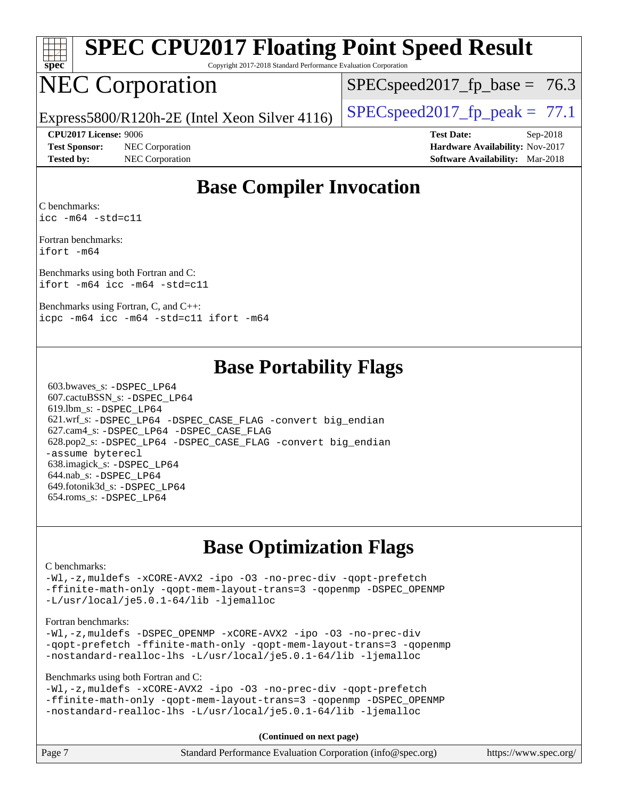

# **[SPEC CPU2017 Floating Point Speed Result](http://www.spec.org/auto/cpu2017/Docs/result-fields.html#SPECCPU2017FloatingPointSpeedResult)**

Copyright 2017-2018 Standard Performance Evaluation Corporation

## NEC Corporation

 $SPECspeed2017<sub>fp</sub> base = 76.3$ 

Express5800/R120h-2E (Intel Xeon Silver 4116) [SPECspeed2017\\_fp\\_peak =](http://www.spec.org/auto/cpu2017/Docs/result-fields.html#SPECspeed2017fppeak)  $77.1$ 

**[Test Sponsor:](http://www.spec.org/auto/cpu2017/Docs/result-fields.html#TestSponsor)** NEC Corporation **[Hardware Availability:](http://www.spec.org/auto/cpu2017/Docs/result-fields.html#HardwareAvailability)** Nov-2017

**[CPU2017 License:](http://www.spec.org/auto/cpu2017/Docs/result-fields.html#CPU2017License)** 9006 **[Test Date:](http://www.spec.org/auto/cpu2017/Docs/result-fields.html#TestDate)** Sep-2018 **[Tested by:](http://www.spec.org/auto/cpu2017/Docs/result-fields.html#Testedby)** NEC Corporation **[Software Availability:](http://www.spec.org/auto/cpu2017/Docs/result-fields.html#SoftwareAvailability)** Mar-2018

#### **[Base Compiler Invocation](http://www.spec.org/auto/cpu2017/Docs/result-fields.html#BaseCompilerInvocation)**

[C benchmarks](http://www.spec.org/auto/cpu2017/Docs/result-fields.html#Cbenchmarks): [icc -m64 -std=c11](http://www.spec.org/cpu2017/results/res2018q4/cpu2017-20180917-08880.flags.html#user_CCbase_intel_icc_64bit_c11_33ee0cdaae7deeeab2a9725423ba97205ce30f63b9926c2519791662299b76a0318f32ddfffdc46587804de3178b4f9328c46fa7c2b0cd779d7a61945c91cd35)

[Fortran benchmarks:](http://www.spec.org/auto/cpu2017/Docs/result-fields.html#Fortranbenchmarks) [ifort -m64](http://www.spec.org/cpu2017/results/res2018q4/cpu2017-20180917-08880.flags.html#user_FCbase_intel_ifort_64bit_24f2bb282fbaeffd6157abe4f878425411749daecae9a33200eee2bee2fe76f3b89351d69a8130dd5949958ce389cf37ff59a95e7a40d588e8d3a57e0c3fd751)

[Benchmarks using both Fortran and C](http://www.spec.org/auto/cpu2017/Docs/result-fields.html#BenchmarksusingbothFortranandC): [ifort -m64](http://www.spec.org/cpu2017/results/res2018q4/cpu2017-20180917-08880.flags.html#user_CC_FCbase_intel_ifort_64bit_24f2bb282fbaeffd6157abe4f878425411749daecae9a33200eee2bee2fe76f3b89351d69a8130dd5949958ce389cf37ff59a95e7a40d588e8d3a57e0c3fd751) [icc -m64 -std=c11](http://www.spec.org/cpu2017/results/res2018q4/cpu2017-20180917-08880.flags.html#user_CC_FCbase_intel_icc_64bit_c11_33ee0cdaae7deeeab2a9725423ba97205ce30f63b9926c2519791662299b76a0318f32ddfffdc46587804de3178b4f9328c46fa7c2b0cd779d7a61945c91cd35)

[Benchmarks using Fortran, C, and C++](http://www.spec.org/auto/cpu2017/Docs/result-fields.html#BenchmarksusingFortranCandCXX): [icpc -m64](http://www.spec.org/cpu2017/results/res2018q4/cpu2017-20180917-08880.flags.html#user_CC_CXX_FCbase_intel_icpc_64bit_4ecb2543ae3f1412ef961e0650ca070fec7b7afdcd6ed48761b84423119d1bf6bdf5cad15b44d48e7256388bc77273b966e5eb805aefd121eb22e9299b2ec9d9) [icc -m64 -std=c11](http://www.spec.org/cpu2017/results/res2018q4/cpu2017-20180917-08880.flags.html#user_CC_CXX_FCbase_intel_icc_64bit_c11_33ee0cdaae7deeeab2a9725423ba97205ce30f63b9926c2519791662299b76a0318f32ddfffdc46587804de3178b4f9328c46fa7c2b0cd779d7a61945c91cd35) [ifort -m64](http://www.spec.org/cpu2017/results/res2018q4/cpu2017-20180917-08880.flags.html#user_CC_CXX_FCbase_intel_ifort_64bit_24f2bb282fbaeffd6157abe4f878425411749daecae9a33200eee2bee2fe76f3b89351d69a8130dd5949958ce389cf37ff59a95e7a40d588e8d3a57e0c3fd751)

#### **[Base Portability Flags](http://www.spec.org/auto/cpu2017/Docs/result-fields.html#BasePortabilityFlags)**

 603.bwaves\_s: [-DSPEC\\_LP64](http://www.spec.org/cpu2017/results/res2018q4/cpu2017-20180917-08880.flags.html#suite_basePORTABILITY603_bwaves_s_DSPEC_LP64) 607.cactuBSSN\_s: [-DSPEC\\_LP64](http://www.spec.org/cpu2017/results/res2018q4/cpu2017-20180917-08880.flags.html#suite_basePORTABILITY607_cactuBSSN_s_DSPEC_LP64) 619.lbm\_s: [-DSPEC\\_LP64](http://www.spec.org/cpu2017/results/res2018q4/cpu2017-20180917-08880.flags.html#suite_basePORTABILITY619_lbm_s_DSPEC_LP64) 621.wrf\_s: [-DSPEC\\_LP64](http://www.spec.org/cpu2017/results/res2018q4/cpu2017-20180917-08880.flags.html#suite_basePORTABILITY621_wrf_s_DSPEC_LP64) [-DSPEC\\_CASE\\_FLAG](http://www.spec.org/cpu2017/results/res2018q4/cpu2017-20180917-08880.flags.html#b621.wrf_s_baseCPORTABILITY_DSPEC_CASE_FLAG) [-convert big\\_endian](http://www.spec.org/cpu2017/results/res2018q4/cpu2017-20180917-08880.flags.html#user_baseFPORTABILITY621_wrf_s_convert_big_endian_c3194028bc08c63ac5d04de18c48ce6d347e4e562e8892b8bdbdc0214820426deb8554edfa529a3fb25a586e65a3d812c835984020483e7e73212c4d31a38223) 627.cam4\_s: [-DSPEC\\_LP64](http://www.spec.org/cpu2017/results/res2018q4/cpu2017-20180917-08880.flags.html#suite_basePORTABILITY627_cam4_s_DSPEC_LP64) [-DSPEC\\_CASE\\_FLAG](http://www.spec.org/cpu2017/results/res2018q4/cpu2017-20180917-08880.flags.html#b627.cam4_s_baseCPORTABILITY_DSPEC_CASE_FLAG) 628.pop2\_s: [-DSPEC\\_LP64](http://www.spec.org/cpu2017/results/res2018q4/cpu2017-20180917-08880.flags.html#suite_basePORTABILITY628_pop2_s_DSPEC_LP64) [-DSPEC\\_CASE\\_FLAG](http://www.spec.org/cpu2017/results/res2018q4/cpu2017-20180917-08880.flags.html#b628.pop2_s_baseCPORTABILITY_DSPEC_CASE_FLAG) [-convert big\\_endian](http://www.spec.org/cpu2017/results/res2018q4/cpu2017-20180917-08880.flags.html#user_baseFPORTABILITY628_pop2_s_convert_big_endian_c3194028bc08c63ac5d04de18c48ce6d347e4e562e8892b8bdbdc0214820426deb8554edfa529a3fb25a586e65a3d812c835984020483e7e73212c4d31a38223) [-assume byterecl](http://www.spec.org/cpu2017/results/res2018q4/cpu2017-20180917-08880.flags.html#user_baseFPORTABILITY628_pop2_s_assume_byterecl_7e47d18b9513cf18525430bbf0f2177aa9bf368bc7a059c09b2c06a34b53bd3447c950d3f8d6c70e3faf3a05c8557d66a5798b567902e8849adc142926523472) 638.imagick\_s: [-DSPEC\\_LP64](http://www.spec.org/cpu2017/results/res2018q4/cpu2017-20180917-08880.flags.html#suite_basePORTABILITY638_imagick_s_DSPEC_LP64) 644.nab\_s: [-DSPEC\\_LP64](http://www.spec.org/cpu2017/results/res2018q4/cpu2017-20180917-08880.flags.html#suite_basePORTABILITY644_nab_s_DSPEC_LP64) 649.fotonik3d\_s: [-DSPEC\\_LP64](http://www.spec.org/cpu2017/results/res2018q4/cpu2017-20180917-08880.flags.html#suite_basePORTABILITY649_fotonik3d_s_DSPEC_LP64) 654.roms\_s: [-DSPEC\\_LP64](http://www.spec.org/cpu2017/results/res2018q4/cpu2017-20180917-08880.flags.html#suite_basePORTABILITY654_roms_s_DSPEC_LP64)

#### **[Base Optimization Flags](http://www.spec.org/auto/cpu2017/Docs/result-fields.html#BaseOptimizationFlags)**

#### [C benchmarks](http://www.spec.org/auto/cpu2017/Docs/result-fields.html#Cbenchmarks):

[-Wl,-z,muldefs](http://www.spec.org/cpu2017/results/res2018q4/cpu2017-20180917-08880.flags.html#user_CCbase_link_force_multiple1_b4cbdb97b34bdee9ceefcfe54f4c8ea74255f0b02a4b23e853cdb0e18eb4525ac79b5a88067c842dd0ee6996c24547a27a4b99331201badda8798ef8a743f577) [-xCORE-AVX2](http://www.spec.org/cpu2017/results/res2018q4/cpu2017-20180917-08880.flags.html#user_CCbase_f-xCORE-AVX2) [-ipo](http://www.spec.org/cpu2017/results/res2018q4/cpu2017-20180917-08880.flags.html#user_CCbase_f-ipo) [-O3](http://www.spec.org/cpu2017/results/res2018q4/cpu2017-20180917-08880.flags.html#user_CCbase_f-O3) [-no-prec-div](http://www.spec.org/cpu2017/results/res2018q4/cpu2017-20180917-08880.flags.html#user_CCbase_f-no-prec-div) [-qopt-prefetch](http://www.spec.org/cpu2017/results/res2018q4/cpu2017-20180917-08880.flags.html#user_CCbase_f-qopt-prefetch) [-ffinite-math-only](http://www.spec.org/cpu2017/results/res2018q4/cpu2017-20180917-08880.flags.html#user_CCbase_f_finite_math_only_cb91587bd2077682c4b38af759c288ed7c732db004271a9512da14a4f8007909a5f1427ecbf1a0fb78ff2a814402c6114ac565ca162485bbcae155b5e4258871) [-qopt-mem-layout-trans=3](http://www.spec.org/cpu2017/results/res2018q4/cpu2017-20180917-08880.flags.html#user_CCbase_f-qopt-mem-layout-trans_de80db37974c74b1f0e20d883f0b675c88c3b01e9d123adea9b28688d64333345fb62bc4a798493513fdb68f60282f9a726aa07f478b2f7113531aecce732043) [-qopenmp](http://www.spec.org/cpu2017/results/res2018q4/cpu2017-20180917-08880.flags.html#user_CCbase_qopenmp_16be0c44f24f464004c6784a7acb94aca937f053568ce72f94b139a11c7c168634a55f6653758ddd83bcf7b8463e8028bb0b48b77bcddc6b78d5d95bb1df2967) [-DSPEC\\_OPENMP](http://www.spec.org/cpu2017/results/res2018q4/cpu2017-20180917-08880.flags.html#suite_CCbase_DSPEC_OPENMP) [-L/usr/local/je5.0.1-64/lib](http://www.spec.org/cpu2017/results/res2018q4/cpu2017-20180917-08880.flags.html#user_CCbase_jemalloc_link_path64_4b10a636b7bce113509b17f3bd0d6226c5fb2346b9178c2d0232c14f04ab830f976640479e5c33dc2bcbbdad86ecfb6634cbbd4418746f06f368b512fced5394) [-ljemalloc](http://www.spec.org/cpu2017/results/res2018q4/cpu2017-20180917-08880.flags.html#user_CCbase_jemalloc_link_lib_d1249b907c500fa1c0672f44f562e3d0f79738ae9e3c4a9c376d49f265a04b9c99b167ecedbf6711b3085be911c67ff61f150a17b3472be731631ba4d0471706)

#### [Fortran benchmarks](http://www.spec.org/auto/cpu2017/Docs/result-fields.html#Fortranbenchmarks):

[-Wl,-z,muldefs](http://www.spec.org/cpu2017/results/res2018q4/cpu2017-20180917-08880.flags.html#user_FCbase_link_force_multiple1_b4cbdb97b34bdee9ceefcfe54f4c8ea74255f0b02a4b23e853cdb0e18eb4525ac79b5a88067c842dd0ee6996c24547a27a4b99331201badda8798ef8a743f577) [-DSPEC\\_OPENMP](http://www.spec.org/cpu2017/results/res2018q4/cpu2017-20180917-08880.flags.html#suite_FCbase_DSPEC_OPENMP) [-xCORE-AVX2](http://www.spec.org/cpu2017/results/res2018q4/cpu2017-20180917-08880.flags.html#user_FCbase_f-xCORE-AVX2) [-ipo](http://www.spec.org/cpu2017/results/res2018q4/cpu2017-20180917-08880.flags.html#user_FCbase_f-ipo) [-O3](http://www.spec.org/cpu2017/results/res2018q4/cpu2017-20180917-08880.flags.html#user_FCbase_f-O3) [-no-prec-div](http://www.spec.org/cpu2017/results/res2018q4/cpu2017-20180917-08880.flags.html#user_FCbase_f-no-prec-div) [-qopt-prefetch](http://www.spec.org/cpu2017/results/res2018q4/cpu2017-20180917-08880.flags.html#user_FCbase_f-qopt-prefetch) [-ffinite-math-only](http://www.spec.org/cpu2017/results/res2018q4/cpu2017-20180917-08880.flags.html#user_FCbase_f_finite_math_only_cb91587bd2077682c4b38af759c288ed7c732db004271a9512da14a4f8007909a5f1427ecbf1a0fb78ff2a814402c6114ac565ca162485bbcae155b5e4258871) [-qopt-mem-layout-trans=3](http://www.spec.org/cpu2017/results/res2018q4/cpu2017-20180917-08880.flags.html#user_FCbase_f-qopt-mem-layout-trans_de80db37974c74b1f0e20d883f0b675c88c3b01e9d123adea9b28688d64333345fb62bc4a798493513fdb68f60282f9a726aa07f478b2f7113531aecce732043) [-qopenmp](http://www.spec.org/cpu2017/results/res2018q4/cpu2017-20180917-08880.flags.html#user_FCbase_qopenmp_16be0c44f24f464004c6784a7acb94aca937f053568ce72f94b139a11c7c168634a55f6653758ddd83bcf7b8463e8028bb0b48b77bcddc6b78d5d95bb1df2967) [-nostandard-realloc-lhs](http://www.spec.org/cpu2017/results/res2018q4/cpu2017-20180917-08880.flags.html#user_FCbase_f_2003_std_realloc_82b4557e90729c0f113870c07e44d33d6f5a304b4f63d4c15d2d0f1fab99f5daaed73bdb9275d9ae411527f28b936061aa8b9c8f2d63842963b95c9dd6426b8a) [-L/usr/local/je5.0.1-64/lib](http://www.spec.org/cpu2017/results/res2018q4/cpu2017-20180917-08880.flags.html#user_FCbase_jemalloc_link_path64_4b10a636b7bce113509b17f3bd0d6226c5fb2346b9178c2d0232c14f04ab830f976640479e5c33dc2bcbbdad86ecfb6634cbbd4418746f06f368b512fced5394) [-ljemalloc](http://www.spec.org/cpu2017/results/res2018q4/cpu2017-20180917-08880.flags.html#user_FCbase_jemalloc_link_lib_d1249b907c500fa1c0672f44f562e3d0f79738ae9e3c4a9c376d49f265a04b9c99b167ecedbf6711b3085be911c67ff61f150a17b3472be731631ba4d0471706)

[Benchmarks using both Fortran and C](http://www.spec.org/auto/cpu2017/Docs/result-fields.html#BenchmarksusingbothFortranandC):

[-Wl,-z,muldefs](http://www.spec.org/cpu2017/results/res2018q4/cpu2017-20180917-08880.flags.html#user_CC_FCbase_link_force_multiple1_b4cbdb97b34bdee9ceefcfe54f4c8ea74255f0b02a4b23e853cdb0e18eb4525ac79b5a88067c842dd0ee6996c24547a27a4b99331201badda8798ef8a743f577) [-xCORE-AVX2](http://www.spec.org/cpu2017/results/res2018q4/cpu2017-20180917-08880.flags.html#user_CC_FCbase_f-xCORE-AVX2) [-ipo](http://www.spec.org/cpu2017/results/res2018q4/cpu2017-20180917-08880.flags.html#user_CC_FCbase_f-ipo) [-O3](http://www.spec.org/cpu2017/results/res2018q4/cpu2017-20180917-08880.flags.html#user_CC_FCbase_f-O3) [-no-prec-div](http://www.spec.org/cpu2017/results/res2018q4/cpu2017-20180917-08880.flags.html#user_CC_FCbase_f-no-prec-div) [-qopt-prefetch](http://www.spec.org/cpu2017/results/res2018q4/cpu2017-20180917-08880.flags.html#user_CC_FCbase_f-qopt-prefetch) [-ffinite-math-only](http://www.spec.org/cpu2017/results/res2018q4/cpu2017-20180917-08880.flags.html#user_CC_FCbase_f_finite_math_only_cb91587bd2077682c4b38af759c288ed7c732db004271a9512da14a4f8007909a5f1427ecbf1a0fb78ff2a814402c6114ac565ca162485bbcae155b5e4258871) [-qopt-mem-layout-trans=3](http://www.spec.org/cpu2017/results/res2018q4/cpu2017-20180917-08880.flags.html#user_CC_FCbase_f-qopt-mem-layout-trans_de80db37974c74b1f0e20d883f0b675c88c3b01e9d123adea9b28688d64333345fb62bc4a798493513fdb68f60282f9a726aa07f478b2f7113531aecce732043) [-qopenmp](http://www.spec.org/cpu2017/results/res2018q4/cpu2017-20180917-08880.flags.html#user_CC_FCbase_qopenmp_16be0c44f24f464004c6784a7acb94aca937f053568ce72f94b139a11c7c168634a55f6653758ddd83bcf7b8463e8028bb0b48b77bcddc6b78d5d95bb1df2967) [-DSPEC\\_OPENMP](http://www.spec.org/cpu2017/results/res2018q4/cpu2017-20180917-08880.flags.html#suite_CC_FCbase_DSPEC_OPENMP) [-nostandard-realloc-lhs](http://www.spec.org/cpu2017/results/res2018q4/cpu2017-20180917-08880.flags.html#user_CC_FCbase_f_2003_std_realloc_82b4557e90729c0f113870c07e44d33d6f5a304b4f63d4c15d2d0f1fab99f5daaed73bdb9275d9ae411527f28b936061aa8b9c8f2d63842963b95c9dd6426b8a) [-L/usr/local/je5.0.1-64/lib](http://www.spec.org/cpu2017/results/res2018q4/cpu2017-20180917-08880.flags.html#user_CC_FCbase_jemalloc_link_path64_4b10a636b7bce113509b17f3bd0d6226c5fb2346b9178c2d0232c14f04ab830f976640479e5c33dc2bcbbdad86ecfb6634cbbd4418746f06f368b512fced5394) [-ljemalloc](http://www.spec.org/cpu2017/results/res2018q4/cpu2017-20180917-08880.flags.html#user_CC_FCbase_jemalloc_link_lib_d1249b907c500fa1c0672f44f562e3d0f79738ae9e3c4a9c376d49f265a04b9c99b167ecedbf6711b3085be911c67ff61f150a17b3472be731631ba4d0471706)

**(Continued on next page)**

| Page 7<br>Standard Performance Evaluation Corporation (info@spec.org) | https://www.spec.org/ |
|-----------------------------------------------------------------------|-----------------------|
|-----------------------------------------------------------------------|-----------------------|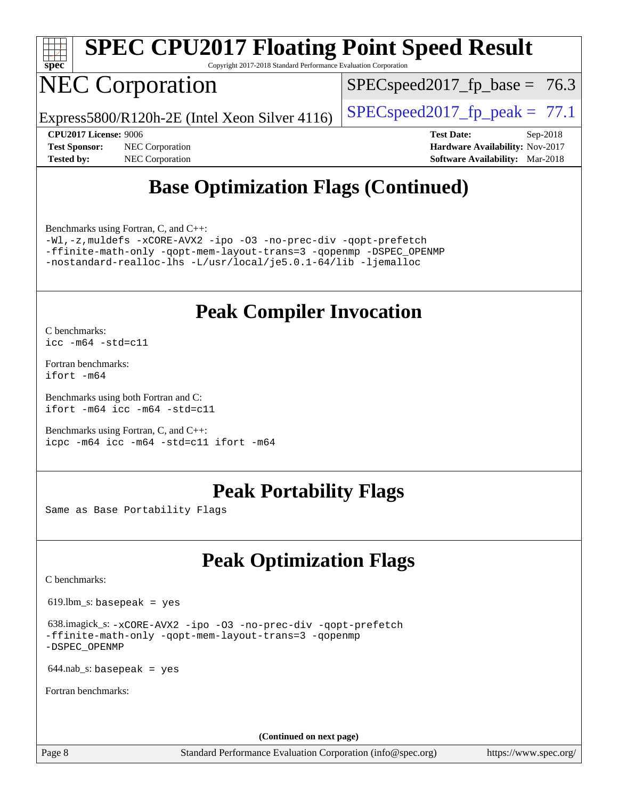

# **[SPEC CPU2017 Floating Point Speed Result](http://www.spec.org/auto/cpu2017/Docs/result-fields.html#SPECCPU2017FloatingPointSpeedResult)**

Copyright 2017-2018 Standard Performance Evaluation Corporation

## NEC Corporation

 $SPECspeed2017<sub>fp</sub> base = 76.3$ 

Express5800/R120h-2E (Intel Xeon Silver 4116) [SPECspeed2017\\_fp\\_peak =](http://www.spec.org/auto/cpu2017/Docs/result-fields.html#SPECspeed2017fppeak)  $77.1$ 

**[Tested by:](http://www.spec.org/auto/cpu2017/Docs/result-fields.html#Testedby)** NEC Corporation **[Software Availability:](http://www.spec.org/auto/cpu2017/Docs/result-fields.html#SoftwareAvailability)** Mar-2018

**[CPU2017 License:](http://www.spec.org/auto/cpu2017/Docs/result-fields.html#CPU2017License)** 9006 **[Test Date:](http://www.spec.org/auto/cpu2017/Docs/result-fields.html#TestDate)** Sep-2018 **[Test Sponsor:](http://www.spec.org/auto/cpu2017/Docs/result-fields.html#TestSponsor)** NEC Corporation **[Hardware Availability:](http://www.spec.org/auto/cpu2017/Docs/result-fields.html#HardwareAvailability)** Nov-2017

## **[Base Optimization Flags \(Continued\)](http://www.spec.org/auto/cpu2017/Docs/result-fields.html#BaseOptimizationFlags)**

[Benchmarks using Fortran, C, and C++:](http://www.spec.org/auto/cpu2017/Docs/result-fields.html#BenchmarksusingFortranCandCXX)

[-Wl,-z,muldefs](http://www.spec.org/cpu2017/results/res2018q4/cpu2017-20180917-08880.flags.html#user_CC_CXX_FCbase_link_force_multiple1_b4cbdb97b34bdee9ceefcfe54f4c8ea74255f0b02a4b23e853cdb0e18eb4525ac79b5a88067c842dd0ee6996c24547a27a4b99331201badda8798ef8a743f577) [-xCORE-AVX2](http://www.spec.org/cpu2017/results/res2018q4/cpu2017-20180917-08880.flags.html#user_CC_CXX_FCbase_f-xCORE-AVX2) [-ipo](http://www.spec.org/cpu2017/results/res2018q4/cpu2017-20180917-08880.flags.html#user_CC_CXX_FCbase_f-ipo) [-O3](http://www.spec.org/cpu2017/results/res2018q4/cpu2017-20180917-08880.flags.html#user_CC_CXX_FCbase_f-O3) [-no-prec-div](http://www.spec.org/cpu2017/results/res2018q4/cpu2017-20180917-08880.flags.html#user_CC_CXX_FCbase_f-no-prec-div) [-qopt-prefetch](http://www.spec.org/cpu2017/results/res2018q4/cpu2017-20180917-08880.flags.html#user_CC_CXX_FCbase_f-qopt-prefetch) [-ffinite-math-only](http://www.spec.org/cpu2017/results/res2018q4/cpu2017-20180917-08880.flags.html#user_CC_CXX_FCbase_f_finite_math_only_cb91587bd2077682c4b38af759c288ed7c732db004271a9512da14a4f8007909a5f1427ecbf1a0fb78ff2a814402c6114ac565ca162485bbcae155b5e4258871) [-qopt-mem-layout-trans=3](http://www.spec.org/cpu2017/results/res2018q4/cpu2017-20180917-08880.flags.html#user_CC_CXX_FCbase_f-qopt-mem-layout-trans_de80db37974c74b1f0e20d883f0b675c88c3b01e9d123adea9b28688d64333345fb62bc4a798493513fdb68f60282f9a726aa07f478b2f7113531aecce732043) [-qopenmp](http://www.spec.org/cpu2017/results/res2018q4/cpu2017-20180917-08880.flags.html#user_CC_CXX_FCbase_qopenmp_16be0c44f24f464004c6784a7acb94aca937f053568ce72f94b139a11c7c168634a55f6653758ddd83bcf7b8463e8028bb0b48b77bcddc6b78d5d95bb1df2967) [-DSPEC\\_OPENMP](http://www.spec.org/cpu2017/results/res2018q4/cpu2017-20180917-08880.flags.html#suite_CC_CXX_FCbase_DSPEC_OPENMP) [-nostandard-realloc-lhs](http://www.spec.org/cpu2017/results/res2018q4/cpu2017-20180917-08880.flags.html#user_CC_CXX_FCbase_f_2003_std_realloc_82b4557e90729c0f113870c07e44d33d6f5a304b4f63d4c15d2d0f1fab99f5daaed73bdb9275d9ae411527f28b936061aa8b9c8f2d63842963b95c9dd6426b8a) [-L/usr/local/je5.0.1-64/lib](http://www.spec.org/cpu2017/results/res2018q4/cpu2017-20180917-08880.flags.html#user_CC_CXX_FCbase_jemalloc_link_path64_4b10a636b7bce113509b17f3bd0d6226c5fb2346b9178c2d0232c14f04ab830f976640479e5c33dc2bcbbdad86ecfb6634cbbd4418746f06f368b512fced5394) [-ljemalloc](http://www.spec.org/cpu2017/results/res2018q4/cpu2017-20180917-08880.flags.html#user_CC_CXX_FCbase_jemalloc_link_lib_d1249b907c500fa1c0672f44f562e3d0f79738ae9e3c4a9c376d49f265a04b9c99b167ecedbf6711b3085be911c67ff61f150a17b3472be731631ba4d0471706)

#### **[Peak Compiler Invocation](http://www.spec.org/auto/cpu2017/Docs/result-fields.html#PeakCompilerInvocation)**

[C benchmarks](http://www.spec.org/auto/cpu2017/Docs/result-fields.html#Cbenchmarks): [icc -m64 -std=c11](http://www.spec.org/cpu2017/results/res2018q4/cpu2017-20180917-08880.flags.html#user_CCpeak_intel_icc_64bit_c11_33ee0cdaae7deeeab2a9725423ba97205ce30f63b9926c2519791662299b76a0318f32ddfffdc46587804de3178b4f9328c46fa7c2b0cd779d7a61945c91cd35)

[Fortran benchmarks](http://www.spec.org/auto/cpu2017/Docs/result-fields.html#Fortranbenchmarks): [ifort -m64](http://www.spec.org/cpu2017/results/res2018q4/cpu2017-20180917-08880.flags.html#user_FCpeak_intel_ifort_64bit_24f2bb282fbaeffd6157abe4f878425411749daecae9a33200eee2bee2fe76f3b89351d69a8130dd5949958ce389cf37ff59a95e7a40d588e8d3a57e0c3fd751)

[Benchmarks using both Fortran and C](http://www.spec.org/auto/cpu2017/Docs/result-fields.html#BenchmarksusingbothFortranandC): [ifort -m64](http://www.spec.org/cpu2017/results/res2018q4/cpu2017-20180917-08880.flags.html#user_CC_FCpeak_intel_ifort_64bit_24f2bb282fbaeffd6157abe4f878425411749daecae9a33200eee2bee2fe76f3b89351d69a8130dd5949958ce389cf37ff59a95e7a40d588e8d3a57e0c3fd751) [icc -m64 -std=c11](http://www.spec.org/cpu2017/results/res2018q4/cpu2017-20180917-08880.flags.html#user_CC_FCpeak_intel_icc_64bit_c11_33ee0cdaae7deeeab2a9725423ba97205ce30f63b9926c2519791662299b76a0318f32ddfffdc46587804de3178b4f9328c46fa7c2b0cd779d7a61945c91cd35)

[Benchmarks using Fortran, C, and C++:](http://www.spec.org/auto/cpu2017/Docs/result-fields.html#BenchmarksusingFortranCandCXX) [icpc -m64](http://www.spec.org/cpu2017/results/res2018q4/cpu2017-20180917-08880.flags.html#user_CC_CXX_FCpeak_intel_icpc_64bit_4ecb2543ae3f1412ef961e0650ca070fec7b7afdcd6ed48761b84423119d1bf6bdf5cad15b44d48e7256388bc77273b966e5eb805aefd121eb22e9299b2ec9d9) [icc -m64 -std=c11](http://www.spec.org/cpu2017/results/res2018q4/cpu2017-20180917-08880.flags.html#user_CC_CXX_FCpeak_intel_icc_64bit_c11_33ee0cdaae7deeeab2a9725423ba97205ce30f63b9926c2519791662299b76a0318f32ddfffdc46587804de3178b4f9328c46fa7c2b0cd779d7a61945c91cd35) [ifort -m64](http://www.spec.org/cpu2017/results/res2018q4/cpu2017-20180917-08880.flags.html#user_CC_CXX_FCpeak_intel_ifort_64bit_24f2bb282fbaeffd6157abe4f878425411749daecae9a33200eee2bee2fe76f3b89351d69a8130dd5949958ce389cf37ff59a95e7a40d588e8d3a57e0c3fd751)

#### **[Peak Portability Flags](http://www.spec.org/auto/cpu2017/Docs/result-fields.html#PeakPortabilityFlags)**

Same as Base Portability Flags

## **[Peak Optimization Flags](http://www.spec.org/auto/cpu2017/Docs/result-fields.html#PeakOptimizationFlags)**

[C benchmarks](http://www.spec.org/auto/cpu2017/Docs/result-fields.html#Cbenchmarks):

619.lbm\_s: basepeak = yes

 638.imagick\_s: [-xCORE-AVX2](http://www.spec.org/cpu2017/results/res2018q4/cpu2017-20180917-08880.flags.html#user_peakCOPTIMIZE638_imagick_s_f-xCORE-AVX2) [-ipo](http://www.spec.org/cpu2017/results/res2018q4/cpu2017-20180917-08880.flags.html#user_peakCOPTIMIZE638_imagick_s_f-ipo) [-O3](http://www.spec.org/cpu2017/results/res2018q4/cpu2017-20180917-08880.flags.html#user_peakCOPTIMIZE638_imagick_s_f-O3) [-no-prec-div](http://www.spec.org/cpu2017/results/res2018q4/cpu2017-20180917-08880.flags.html#user_peakCOPTIMIZE638_imagick_s_f-no-prec-div) [-qopt-prefetch](http://www.spec.org/cpu2017/results/res2018q4/cpu2017-20180917-08880.flags.html#user_peakCOPTIMIZE638_imagick_s_f-qopt-prefetch) [-ffinite-math-only](http://www.spec.org/cpu2017/results/res2018q4/cpu2017-20180917-08880.flags.html#user_peakCOPTIMIZE638_imagick_s_f_finite_math_only_cb91587bd2077682c4b38af759c288ed7c732db004271a9512da14a4f8007909a5f1427ecbf1a0fb78ff2a814402c6114ac565ca162485bbcae155b5e4258871) [-qopt-mem-layout-trans=3](http://www.spec.org/cpu2017/results/res2018q4/cpu2017-20180917-08880.flags.html#user_peakCOPTIMIZE638_imagick_s_f-qopt-mem-layout-trans_de80db37974c74b1f0e20d883f0b675c88c3b01e9d123adea9b28688d64333345fb62bc4a798493513fdb68f60282f9a726aa07f478b2f7113531aecce732043) [-qopenmp](http://www.spec.org/cpu2017/results/res2018q4/cpu2017-20180917-08880.flags.html#user_peakCOPTIMIZE638_imagick_s_qopenmp_16be0c44f24f464004c6784a7acb94aca937f053568ce72f94b139a11c7c168634a55f6653758ddd83bcf7b8463e8028bb0b48b77bcddc6b78d5d95bb1df2967) [-DSPEC\\_OPENMP](http://www.spec.org/cpu2017/results/res2018q4/cpu2017-20180917-08880.flags.html#suite_peakCOPTIMIZE638_imagick_s_DSPEC_OPENMP)

 $644$ .nab\_s: basepeak = yes

[Fortran benchmarks](http://www.spec.org/auto/cpu2017/Docs/result-fields.html#Fortranbenchmarks):

**(Continued on next page)**

Page 8 Standard Performance Evaluation Corporation [\(info@spec.org\)](mailto:info@spec.org) <https://www.spec.org/>